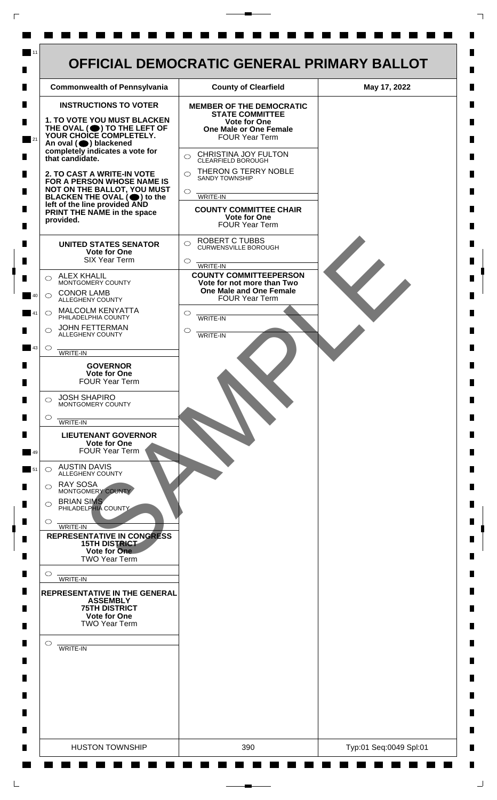

 $\mathsf{L}$